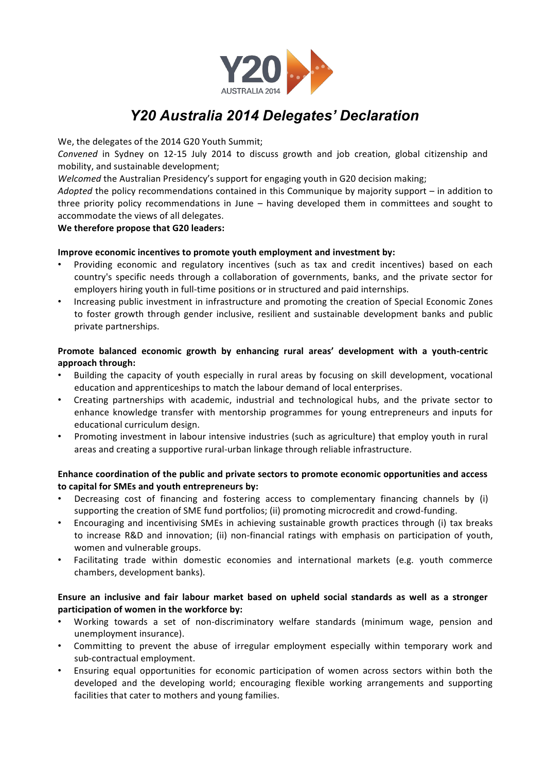

# *Y20 Australia 2014 Delegates' Declaration*

We, the delegates of the 2014 G20 Youth Summit;

Convened in Sydney on 12-15 July 2014 to discuss growth and job creation, global citizenship and mobility, and sustainable development;

*Welcomed* the Australian Presidency's support for engaging youth in G20 decision making;

*Adopted* the policy recommendations contained in this Communique by majority support – in addition to three priority policy recommendations in June – having developed them in committees and sought to accommodate the views of all delegates.

## **We therefore propose that G20 leaders:**

## **Improve economic incentives to promote youth employment and investment by:**

- Providing economic and regulatory incentives (such as tax and credit incentives) based on each country's specific needs through a collaboration of governments, banks, and the private sector for employers hiring youth in full-time positions or in structured and paid internships.
- Increasing public investment in infrastructure and promoting the creation of Special Economic Zones to foster growth through gender inclusive, resilient and sustainable development banks and public private partnerships.

## **Promote balanced economic growth by enhancing rural areas' development with a youth-centric approach through:**

- Building the capacity of youth especially in rural areas by focusing on skill development, vocational education and apprenticeships to match the labour demand of local enterprises.
- Creating partnerships with academic, industrial and technological hubs, and the private sector to enhance knowledge transfer with mentorship programmes for young entrepreneurs and inputs for educational curriculum design.
- Promoting investment in labour intensive industries (such as agriculture) that employ youth in rural areas and creating a supportive rural-urban linkage through reliable infrastructure.

# **Enhance coordination of the public and private sectors to promote economic opportunities and access to capital for SMEs and youth entrepreneurs by:**

- Decreasing cost of financing and fostering access to complementary financing channels by (i) supporting the creation of SME fund portfolios; (ii) promoting microcredit and crowd-funding.
- Encouraging and incentivising SMEs in achieving sustainable growth practices through (i) tax breaks to increase R&D and innovation; (ii) non-financial ratings with emphasis on participation of youth, women and vulnerable groups.
- Facilitating trade within domestic economies and international markets (e.g. youth commerce chambers, development banks).

## **Ensure an inclusive and fair labour market based on upheld social standards as well as a stronger participation of women in the workforce by:**

- Working towards a set of non-discriminatory welfare standards (minimum wage, pension and unemployment insurance).
- Committing to prevent the abuse of irregular employment especially within temporary work and sub-contractual employment.
- Ensuring equal opportunities for economic participation of women across sectors within both the developed and the developing world; encouraging flexible working arrangements and supporting facilities that cater to mothers and young families.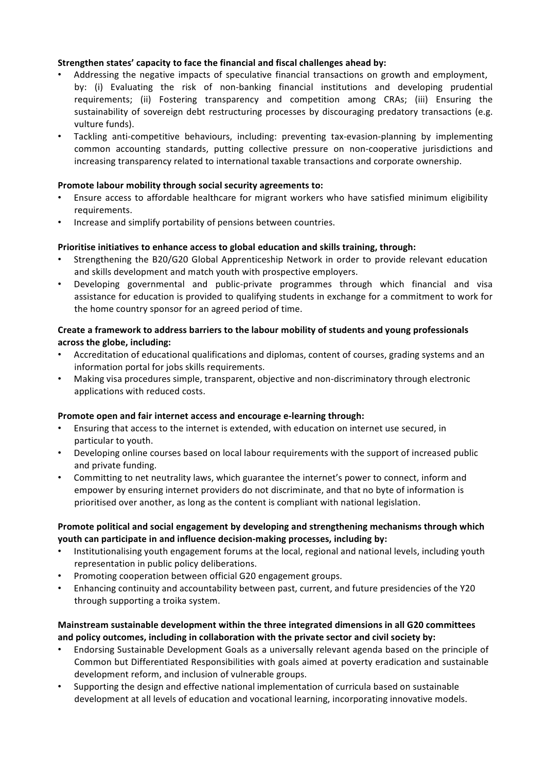## **Strengthen states' capacity to face the financial and fiscal challenges ahead by:**

- Addressing the negative impacts of speculative financial transactions on growth and employment, by: (i) Evaluating the risk of non-banking financial institutions and developing prudential requirements; (ii) Fostering transparency and competition among CRAs; (iii) Ensuring the sustainability of sovereign debt restructuring processes by discouraging predatory transactions (e.g. vulture funds).
- Tackling anti-competitive behaviours, including: preventing tax-evasion-planning by implementing common accounting standards, putting collective pressure on non-cooperative jurisdictions and increasing transparency related to international taxable transactions and corporate ownership.

#### **Promote labour mobility through social security agreements to:**

- Ensure access to affordable healthcare for migrant workers who have satisfied minimum eligibility requirements.
- Increase and simplify portability of pensions between countries.

## **Prioritise initiatives to enhance access to global education and skills training, through:**

- Strengthening the B20/G20 Global Apprenticeship Network in order to provide relevant education and skills development and match youth with prospective employers.
- Developing governmental and public-private programmes through which financial and visa assistance for education is provided to qualifying students in exchange for a commitment to work for the home country sponsor for an agreed period of time.

## **Create a framework to address barriers to the labour mobility of students and young professionals across the globe, including:**

- Accreditation of educational qualifications and diplomas, content of courses, grading systems and an information portal for jobs skills requirements.
- Making visa procedures simple, transparent, objective and non-discriminatory through electronic applications with reduced costs.

#### **Promote open and fair internet access and encourage e-learning through:**

- Ensuring that access to the internet is extended, with education on internet use secured, in particular to youth.
- Developing online courses based on local labour requirements with the support of increased public and private funding.
- Committing to net neutrality laws, which guarantee the internet's power to connect, inform and empower by ensuring internet providers do not discriminate, and that no byte of information is prioritised over another, as long as the content is compliant with national legislation.

# **Promote political and social engagement by developing and strengthening mechanisms through which youth can participate in and influence decision-making processes, including by:**

- Institutionalising youth engagement forums at the local, regional and national levels, including youth representation in public policy deliberations.
- Promoting cooperation between official G20 engagement groups.
- Enhancing continuity and accountability between past, current, and future presidencies of the Y20 through supporting a troika system.

## **Mainstream sustainable development within the three integrated dimensions in all G20 committees and policy outcomes, including in collaboration with the private sector and civil society by:**

- Endorsing Sustainable Development Goals as a universally relevant agenda based on the principle of Common but Differentiated Responsibilities with goals aimed at poverty eradication and sustainable development reform, and inclusion of vulnerable groups.
- Supporting the design and effective national implementation of curricula based on sustainable development at all levels of education and vocational learning, incorporating innovative models.